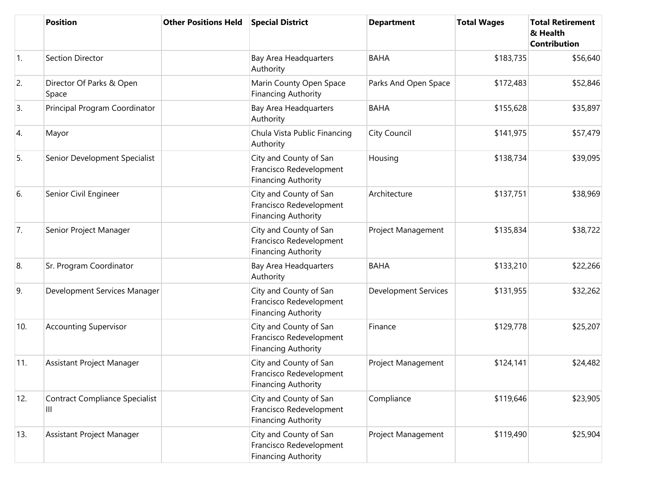|                | <b>Position</b>                            | <b>Other Positions Held</b> | <b>Special District</b>                                                         | <b>Department</b>           | <b>Total Wages</b> | <b>Total Retirement</b><br>& Health<br><b>Contribution</b> |
|----------------|--------------------------------------------|-----------------------------|---------------------------------------------------------------------------------|-----------------------------|--------------------|------------------------------------------------------------|
| $\mathbf{1}$ . | Section Director                           |                             | Bay Area Headquarters<br>Authority                                              | <b>BAHA</b>                 | \$183,735          | \$56,640                                                   |
| 2.             | Director Of Parks & Open<br>Space          |                             | Marin County Open Space<br><b>Financing Authority</b>                           | Parks And Open Space        | \$172,483          | \$52,846                                                   |
| 3.             | Principal Program Coordinator              |                             | Bay Area Headquarters<br>Authority                                              | <b>BAHA</b>                 | \$155,628          | \$35,897                                                   |
| 4.             | Mayor                                      |                             | Chula Vista Public Financing<br>Authority                                       | City Council                | \$141,975          | \$57,479                                                   |
| 5.             | Senior Development Specialist              |                             | City and County of San<br>Francisco Redevelopment<br><b>Financing Authority</b> | Housing                     | \$138,734          | \$39,095                                                   |
| 6.             | Senior Civil Engineer                      |                             | City and County of San<br>Francisco Redevelopment<br><b>Financing Authority</b> | Architecture                | \$137,751          | \$38,969                                                   |
| 7.             | Senior Project Manager                     |                             | City and County of San<br>Francisco Redevelopment<br><b>Financing Authority</b> | Project Management          | \$135,834          | \$38,722                                                   |
| 8.             | Sr. Program Coordinator                    |                             | <b>Bay Area Headquarters</b><br>Authority                                       | <b>BAHA</b>                 | \$133,210          | \$22,266                                                   |
| 9.             | Development Services Manager               |                             | City and County of San<br>Francisco Redevelopment<br><b>Financing Authority</b> | <b>Development Services</b> | \$131,955          | \$32,262                                                   |
| 10.            | <b>Accounting Supervisor</b>               |                             | City and County of San<br>Francisco Redevelopment<br><b>Financing Authority</b> | Finance                     | \$129,778          | \$25,207                                                   |
| 11.            | Assistant Project Manager                  |                             | City and County of San<br>Francisco Redevelopment<br><b>Financing Authority</b> | Project Management          | \$124,141          | \$24,482                                                   |
| 12.            | <b>Contract Compliance Specialist</b><br>Ш |                             | City and County of San<br>Francisco Redevelopment<br><b>Financing Authority</b> | Compliance                  | \$119,646          | \$23,905                                                   |
| 13.            | Assistant Project Manager                  |                             | City and County of San<br>Francisco Redevelopment<br><b>Financing Authority</b> | Project Management          | \$119,490          | \$25,904                                                   |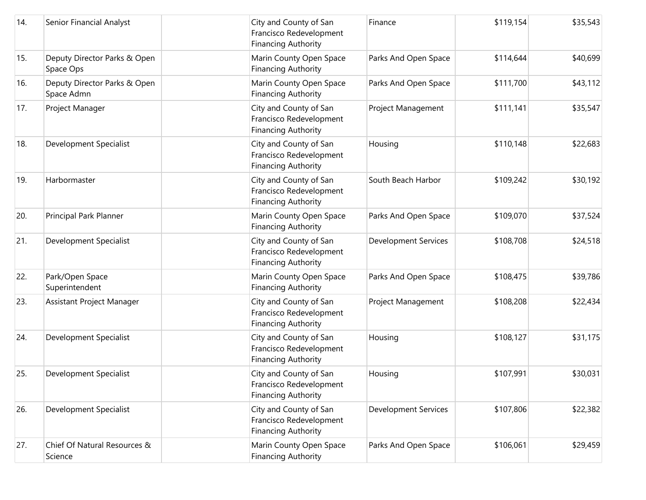| 14. | Senior Financial Analyst                   |  | City and County of San<br>Francisco Redevelopment<br><b>Financing Authority</b> | Finance                     | \$119,154 | \$35,543 |
|-----|--------------------------------------------|--|---------------------------------------------------------------------------------|-----------------------------|-----------|----------|
| 15. | Deputy Director Parks & Open<br>Space Ops  |  | Marin County Open Space<br><b>Financing Authority</b>                           | Parks And Open Space        | \$114,644 | \$40,699 |
| 16. | Deputy Director Parks & Open<br>Space Admn |  | Marin County Open Space<br><b>Financing Authority</b>                           | Parks And Open Space        | \$111,700 | \$43,112 |
| 17. | Project Manager                            |  | City and County of San<br>Francisco Redevelopment<br><b>Financing Authority</b> | Project Management          | \$111,141 | \$35,547 |
| 18. | Development Specialist                     |  | City and County of San<br>Francisco Redevelopment<br><b>Financing Authority</b> | Housing                     | \$110,148 | \$22,683 |
| 19. | Harbormaster                               |  | City and County of San<br>Francisco Redevelopment<br><b>Financing Authority</b> | South Beach Harbor          | \$109,242 | \$30,192 |
| 20. | Principal Park Planner                     |  | Marin County Open Space<br><b>Financing Authority</b>                           | Parks And Open Space        | \$109,070 | \$37,524 |
| 21. | Development Specialist                     |  | City and County of San<br>Francisco Redevelopment<br><b>Financing Authority</b> | <b>Development Services</b> | \$108,708 | \$24,518 |
| 22. | Park/Open Space<br>Superintendent          |  | Marin County Open Space<br><b>Financing Authority</b>                           | Parks And Open Space        | \$108,475 | \$39,786 |
| 23. | Assistant Project Manager                  |  | City and County of San<br>Francisco Redevelopment<br><b>Financing Authority</b> | Project Management          | \$108,208 | \$22,434 |
| 24. | Development Specialist                     |  | City and County of San<br>Francisco Redevelopment<br><b>Financing Authority</b> | Housing                     | \$108,127 | \$31,175 |
| 25. | Development Specialist                     |  | City and County of San<br>Francisco Redevelopment<br><b>Financing Authority</b> | Housing                     | \$107,991 | \$30,031 |
| 26. | Development Specialist                     |  | City and County of San<br>Francisco Redevelopment<br><b>Financing Authority</b> | <b>Development Services</b> | \$107,806 | \$22,382 |
| 27. | Chief Of Natural Resources &<br>Science    |  | Marin County Open Space<br><b>Financing Authority</b>                           | Parks And Open Space        | \$106,061 | \$29,459 |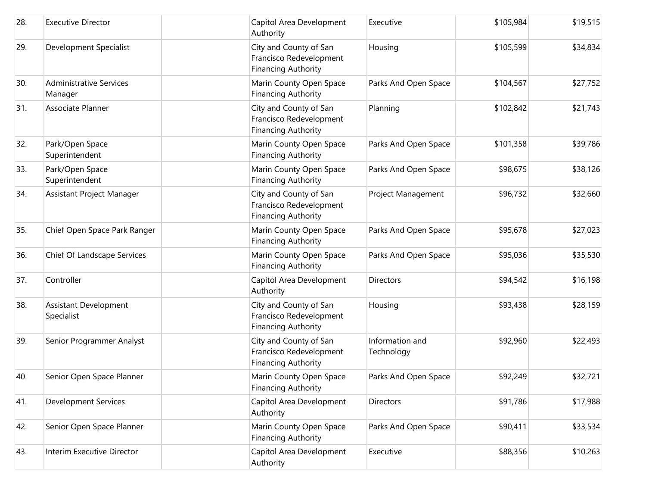| 28. | <b>Executive Director</b>                  | Capitol Area Development<br>Authority                                           | Executive                     | \$105,984 | \$19,515 |
|-----|--------------------------------------------|---------------------------------------------------------------------------------|-------------------------------|-----------|----------|
| 29. | Development Specialist                     | City and County of San<br>Francisco Redevelopment<br><b>Financing Authority</b> | Housing                       | \$105,599 | \$34,834 |
| 30. | <b>Administrative Services</b><br>Manager  | Marin County Open Space<br><b>Financing Authority</b>                           | Parks And Open Space          | \$104,567 | \$27,752 |
| 31. | Associate Planner                          | City and County of San<br>Francisco Redevelopment<br><b>Financing Authority</b> | Planning                      | \$102,842 | \$21,743 |
| 32. | Park/Open Space<br>Superintendent          | Marin County Open Space<br><b>Financing Authority</b>                           | Parks And Open Space          | \$101,358 | \$39,786 |
| 33. | Park/Open Space<br>Superintendent          | Marin County Open Space<br><b>Financing Authority</b>                           | Parks And Open Space          | \$98,675  | \$38,126 |
| 34. | Assistant Project Manager                  | City and County of San<br>Francisco Redevelopment<br><b>Financing Authority</b> | Project Management            | \$96,732  | \$32,660 |
| 35. | Chief Open Space Park Ranger               | Marin County Open Space<br><b>Financing Authority</b>                           | Parks And Open Space          | \$95,678  | \$27,023 |
| 36. | Chief Of Landscape Services                | Marin County Open Space<br><b>Financing Authority</b>                           | Parks And Open Space          | \$95,036  | \$35,530 |
| 37. | Controller                                 | Capitol Area Development<br>Authority                                           | <b>Directors</b>              | \$94,542  | \$16,198 |
| 38. | <b>Assistant Development</b><br>Specialist | City and County of San<br>Francisco Redevelopment<br><b>Financing Authority</b> | Housing                       | \$93,438  | \$28,159 |
| 39. | Senior Programmer Analyst                  | City and County of San<br>Francisco Redevelopment<br><b>Financing Authority</b> | Information and<br>Technology | \$92,960  | \$22,493 |
| 40. | Senior Open Space Planner                  | Marin County Open Space<br><b>Financing Authority</b>                           | Parks And Open Space          | \$92,249  | \$32,721 |
| 41. | <b>Development Services</b>                | Capitol Area Development<br>Authority                                           | Directors                     | \$91,786  | \$17,988 |
| 42. | Senior Open Space Planner                  | Marin County Open Space<br><b>Financing Authority</b>                           | Parks And Open Space          | \$90,411  | \$33,534 |
| 43. | Interim Executive Director                 | Capitol Area Development<br>Authority                                           | Executive                     | \$88,356  | \$10,263 |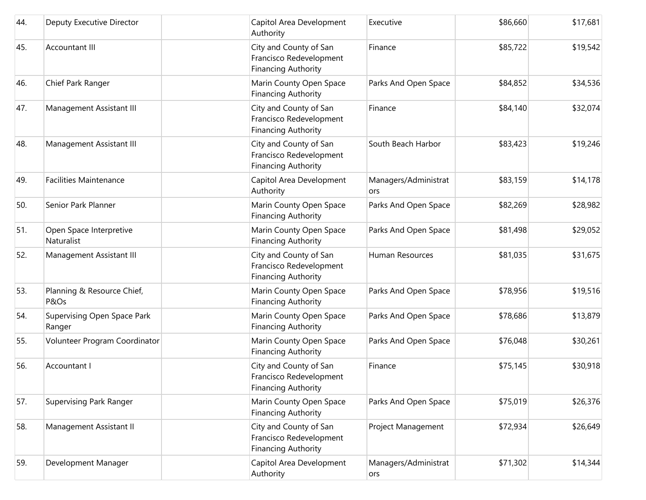| 44. | Deputy Executive Director             | Capitol Area Development<br>Authority                                           | Executive                   | \$86,660 | \$17,681 |
|-----|---------------------------------------|---------------------------------------------------------------------------------|-----------------------------|----------|----------|
| 45. | <b>Accountant III</b>                 | City and County of San<br>Francisco Redevelopment<br><b>Financing Authority</b> | Finance                     | \$85,722 | \$19,542 |
| 46. | Chief Park Ranger                     | Marin County Open Space<br><b>Financing Authority</b>                           | Parks And Open Space        | \$84,852 | \$34,536 |
| 47. | Management Assistant III              | City and County of San<br>Francisco Redevelopment<br><b>Financing Authority</b> | Finance                     | \$84,140 | \$32,074 |
| 48. | Management Assistant III              | City and County of San<br>Francisco Redevelopment<br><b>Financing Authority</b> | South Beach Harbor          | \$83,423 | \$19,246 |
| 49. | <b>Facilities Maintenance</b>         | Capitol Area Development<br>Authority                                           | Managers/Administrat<br>ors | \$83,159 | \$14,178 |
| 50. | Senior Park Planner                   | Marin County Open Space<br><b>Financing Authority</b>                           | Parks And Open Space        | \$82,269 | \$28,982 |
| 51. | Open Space Interpretive<br>Naturalist | Marin County Open Space<br><b>Financing Authority</b>                           | Parks And Open Space        | \$81,498 | \$29,052 |
| 52. | Management Assistant III              | City and County of San<br>Francisco Redevelopment<br><b>Financing Authority</b> | Human Resources             | \$81,035 | \$31,675 |
| 53. | Planning & Resource Chief,<br>P&Os    | Marin County Open Space<br><b>Financing Authority</b>                           | Parks And Open Space        | \$78,956 | \$19,516 |
| 54. | Supervising Open Space Park<br>Ranger | Marin County Open Space<br><b>Financing Authority</b>                           | Parks And Open Space        | \$78,686 | \$13,879 |
| 55. | Volunteer Program Coordinator         | Marin County Open Space<br><b>Financing Authority</b>                           | Parks And Open Space        | \$76,048 | \$30,261 |
| 56. | Accountant I                          | City and County of San<br>Francisco Redevelopment<br><b>Financing Authority</b> | Finance                     | \$75,145 | \$30,918 |
| 57. | Supervising Park Ranger               | Marin County Open Space<br><b>Financing Authority</b>                           | Parks And Open Space        | \$75,019 | \$26,376 |
| 58. | Management Assistant II               | City and County of San<br>Francisco Redevelopment<br><b>Financing Authority</b> | Project Management          | \$72,934 | \$26,649 |
| 59. | Development Manager                   | Capitol Area Development<br>Authority                                           | Managers/Administrat<br>ors | \$71,302 | \$14,344 |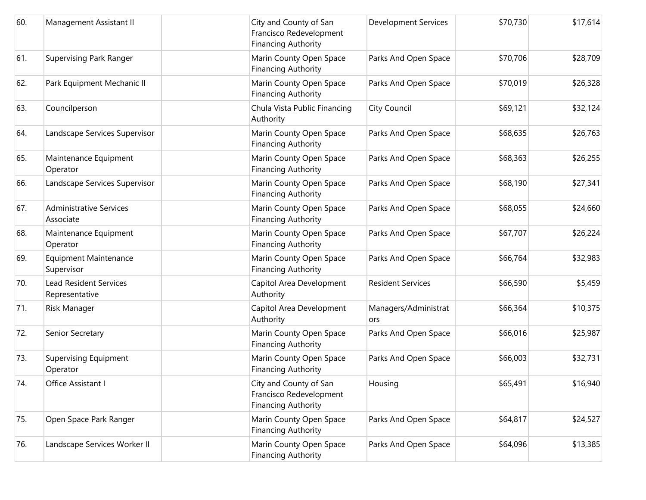| 60. | Management Assistant II                         | City and County of San<br>Francisco Redevelopment<br><b>Financing Authority</b> | <b>Development Services</b> | \$70,730 | \$17,614 |
|-----|-------------------------------------------------|---------------------------------------------------------------------------------|-----------------------------|----------|----------|
| 61. | Supervising Park Ranger                         | Marin County Open Space<br><b>Financing Authority</b>                           | Parks And Open Space        | \$70,706 | \$28,709 |
| 62. | Park Equipment Mechanic II                      | Marin County Open Space<br><b>Financing Authority</b>                           | Parks And Open Space        | \$70,019 | \$26,328 |
| 63. | Councilperson                                   | Chula Vista Public Financing<br>Authority                                       | City Council                | \$69,121 | \$32,124 |
| 64. | Landscape Services Supervisor                   | Marin County Open Space<br><b>Financing Authority</b>                           | Parks And Open Space        | \$68,635 | \$26,763 |
| 65. | Maintenance Equipment<br>Operator               | Marin County Open Space<br><b>Financing Authority</b>                           | Parks And Open Space        | \$68,363 | \$26,255 |
| 66. | Landscape Services Supervisor                   | Marin County Open Space<br><b>Financing Authority</b>                           | Parks And Open Space        | \$68,190 | \$27,341 |
| 67. | <b>Administrative Services</b><br>Associate     | Marin County Open Space<br><b>Financing Authority</b>                           | Parks And Open Space        | \$68,055 | \$24,660 |
| 68. | Maintenance Equipment<br>Operator               | Marin County Open Space<br><b>Financing Authority</b>                           | Parks And Open Space        | \$67,707 | \$26,224 |
| 69. | <b>Equipment Maintenance</b><br>Supervisor      | Marin County Open Space<br><b>Financing Authority</b>                           | Parks And Open Space        | \$66,764 | \$32,983 |
| 70. | <b>Lead Resident Services</b><br>Representative | Capitol Area Development<br>Authority                                           | <b>Resident Services</b>    | \$66,590 | \$5,459  |
| 71. | <b>Risk Manager</b>                             | Capitol Area Development<br>Authority                                           | Managers/Administrat<br>ors | \$66,364 | \$10,375 |
| 72. | Senior Secretary                                | Marin County Open Space<br><b>Financing Authority</b>                           | Parks And Open Space        | \$66,016 | \$25,987 |
| 73. | <b>Supervising Equipment</b><br>Operator        | Marin County Open Space<br><b>Financing Authority</b>                           | Parks And Open Space        | \$66,003 | \$32,731 |
| 74. | Office Assistant I                              | City and County of San<br>Francisco Redevelopment<br><b>Financing Authority</b> | Housing                     | \$65,491 | \$16,940 |
| 75. | Open Space Park Ranger                          | Marin County Open Space<br><b>Financing Authority</b>                           | Parks And Open Space        | \$64,817 | \$24,527 |
| 76. | Landscape Services Worker II                    | Marin County Open Space<br><b>Financing Authority</b>                           | Parks And Open Space        | \$64,096 | \$13,385 |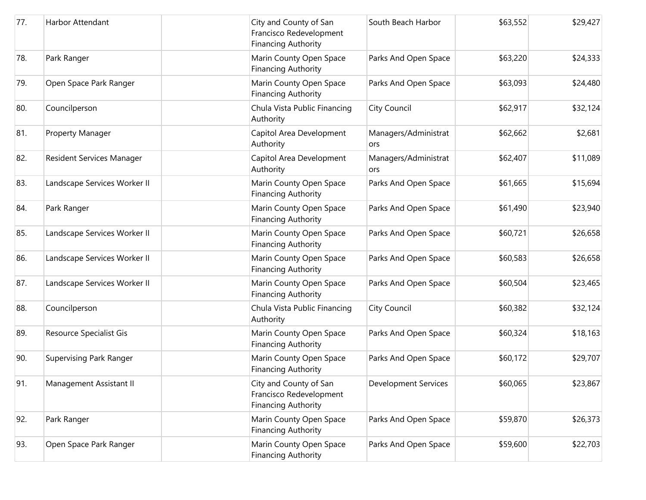| 77. | Harbor Attendant             | City and County of San<br>Francisco Redevelopment<br><b>Financing Authority</b> | South Beach Harbor          | \$63,552 | \$29,427 |
|-----|------------------------------|---------------------------------------------------------------------------------|-----------------------------|----------|----------|
| 78. | Park Ranger                  | Marin County Open Space<br><b>Financing Authority</b>                           | Parks And Open Space        | \$63,220 | \$24,333 |
| 79. | Open Space Park Ranger       | Marin County Open Space<br><b>Financing Authority</b>                           | Parks And Open Space        | \$63,093 | \$24,480 |
| 80. | Councilperson                | Chula Vista Public Financing<br>Authority                                       | <b>City Council</b>         | \$62,917 | \$32,124 |
| 81. | Property Manager             | Capitol Area Development<br>Authority                                           | Managers/Administrat<br>ors | \$62,662 | \$2,681  |
| 82. | Resident Services Manager    | Capitol Area Development<br>Authority                                           | Managers/Administrat<br>ors | \$62,407 | \$11,089 |
| 83. | Landscape Services Worker II | Marin County Open Space<br><b>Financing Authority</b>                           | Parks And Open Space        | \$61,665 | \$15,694 |
| 84. | Park Ranger                  | Marin County Open Space<br><b>Financing Authority</b>                           | Parks And Open Space        | \$61,490 | \$23,940 |
| 85. | Landscape Services Worker II | Marin County Open Space<br><b>Financing Authority</b>                           | Parks And Open Space        | \$60,721 | \$26,658 |
| 86. | Landscape Services Worker II | Marin County Open Space<br><b>Financing Authority</b>                           | Parks And Open Space        | \$60,583 | \$26,658 |
| 87. | Landscape Services Worker II | Marin County Open Space<br><b>Financing Authority</b>                           | Parks And Open Space        | \$60,504 | \$23,465 |
| 88. | Councilperson                | Chula Vista Public Financing<br>Authority                                       | <b>City Council</b>         | \$60,382 | \$32,124 |
| 89. | Resource Specialist Gis      | Marin County Open Space<br><b>Financing Authority</b>                           | Parks And Open Space        | \$60,324 | \$18,163 |
| 90. | Supervising Park Ranger      | Marin County Open Space<br><b>Financing Authority</b>                           | Parks And Open Space        | \$60,172 | \$29,707 |
| 91. | Management Assistant II      | City and County of San<br>Francisco Redevelopment<br><b>Financing Authority</b> | <b>Development Services</b> | \$60,065 | \$23,867 |
| 92. | Park Ranger                  | Marin County Open Space<br><b>Financing Authority</b>                           | Parks And Open Space        | \$59,870 | \$26,373 |
| 93. | Open Space Park Ranger       | Marin County Open Space<br><b>Financing Authority</b>                           | Parks And Open Space        | \$59,600 | \$22,703 |